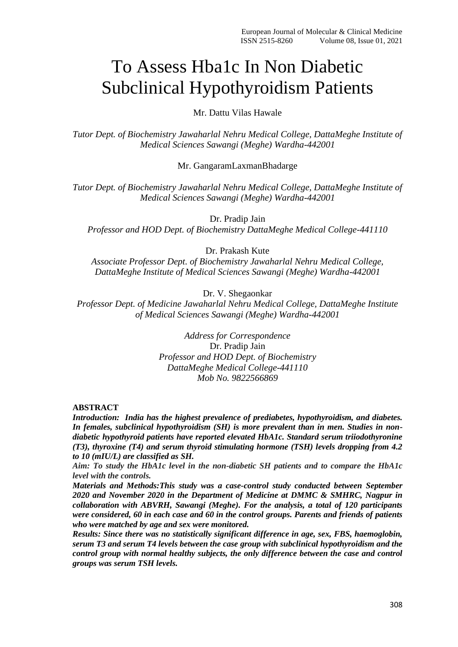# To Assess Hba1c In Non Diabetic Subclinical Hypothyroidism Patients

Mr. Dattu Vilas Hawale

*Tutor Dept. of Biochemistry Jawaharlal Nehru Medical College, DattaMeghe Institute of Medical Sciences Sawangi (Meghe) Wardha-442001*

Mr. GangaramLaxmanBhadarge

*Tutor Dept. of Biochemistry Jawaharlal Nehru Medical College, DattaMeghe Institute of Medical Sciences Sawangi (Meghe) Wardha-442001*

Dr. Pradip Jain

*Professor and HOD Dept. of Biochemistry DattaMeghe Medical College-441110*

Dr. Prakash Kute

*Associate Professor Dept. of Biochemistry Jawaharlal Nehru Medical College, DattaMeghe Institute of Medical Sciences Sawangi (Meghe) Wardha-442001*

Dr. V. Shegaonkar

*Professor Dept. of Medicine Jawaharlal Nehru Medical College, DattaMeghe Institute of Medical Sciences Sawangi (Meghe) Wardha-442001*

> *Address for Correspondence* Dr. Pradip Jain *Professor and HOD Dept. of Biochemistry DattaMeghe Medical College-441110 Mob No. 9822566869*

**ABSTRACT**

*Introduction: India has the highest prevalence of prediabetes, hypothyroidism, and diabetes. In females, subclinical hypothyroidism (SH) is more prevalent than in men. Studies in nondiabetic hypothyroid patients have reported elevated HbA1c. Standard serum triiodothyronine (T3), thyroxine (T4) and serum thyroid stimulating hormone (TSH) levels dropping from 4.2 to 10 (mIU/L) are classified as SH.*

*Aim: To study the HbA1c level in the non-diabetic SH patients and to compare the HbA1c level with the controls.*

*Materials and Methods:This study was a case-control study conducted between September 2020 and November 2020 in the Department of Medicine at DMMC & SMHRC, Nagpur in collaboration with ABVRH, Sawangi (Meghe). For the analysis, a total of 120 participants were considered, 60 in each case and 60 in the control groups. Parents and friends of patients who were matched by age and sex were monitored.*

*Results: Since there was no statistically significant difference in age, sex, FBS, haemoglobin, serum T3 and serum T4 levels between the case group with subclinical hypothyroidism and the control group with normal healthy subjects, the only difference between the case and control groups was serum TSH levels.*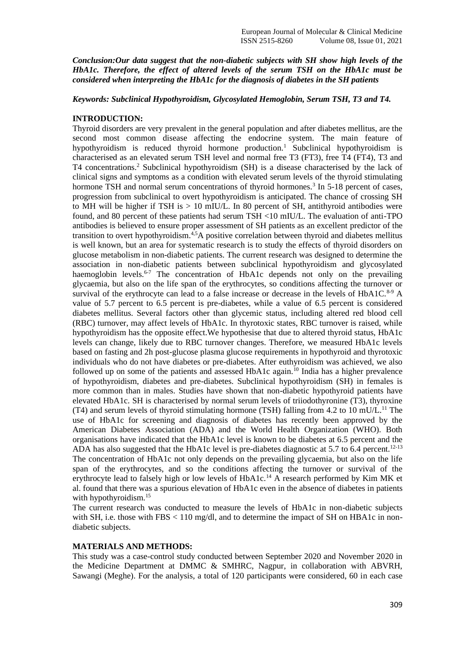*Conclusion:Our data suggest that the non-diabetic subjects with SH show high levels of the HbA1c. Therefore, the effect of altered levels of the serum TSH on the HbA1c must be considered when interpreting the HbA1c for the diagnosis of diabetes in the SH patients*

*Keywords: Subclinical Hypothyroidism, Glycosylated Hemoglobin, Serum TSH, T3 and T4.*

#### **INTRODUCTION:**

Thyroid disorders are very prevalent in the general population and after diabetes mellitus, are the second most common disease affecting the endocrine system. The main feature of hypothyroidism is reduced thyroid hormone production.<sup>1</sup> Subclinical hypothyroidism is characterised as an elevated serum TSH level and normal free T3 (FT3), free T4 (FT4), T3 and T4 concentrations.<sup>2</sup> Subclinical hypothyroidism (SH) is a disease characterised by the lack of clinical signs and symptoms as a condition with elevated serum levels of the thyroid stimulating hormone TSH and normal serum concentrations of thyroid hormones.<sup>3</sup> In 5-18 percent of cases, progression from subclinical to overt hypothyroidism is anticipated. The chance of crossing SH to MH will be higher if TSH is  $> 10$  mIU/L. In 80 percent of SH, antithyroid antibodies were found, and 80 percent of these patients had serum TSH <10 mIU/L. The evaluation of anti-TPO antibodies is believed to ensure proper assessment of SH patients as an excellent predictor of the transition to overt hypothyroidism.4,5A positive correlation between thyroid and diabetes mellitus is well known, but an area for systematic research is to study the effects of thyroid disorders on glucose metabolism in non-diabetic patients. The current research was designed to determine the association in non-diabetic patients between subclinical hypothyroidism and glycosylated haemoglobin levels.<sup>6-7</sup> The concentration of HbA1c depends not only on the prevailing glycaemia, but also on the life span of the erythrocytes, so conditions affecting the turnover or survival of the erythrocyte can lead to a false increase or decrease in the levels of  $HbA1C$ .<sup>8-9</sup> A value of 5.7 percent to 6.5 percent is pre-diabetes, while a value of 6.5 percent is considered diabetes mellitus. Several factors other than glycemic status, including altered red blood cell (RBC) turnover, may affect levels of HbA1c. In thyrotoxic states, RBC turnover is raised, while hypothyroidism has the opposite effect.We hypothesise that due to altered thyroid status, HbA1c levels can change, likely due to RBC turnover changes. Therefore, we measured HbA1c levels based on fasting and 2h post-glucose plasma glucose requirements in hypothyroid and thyrotoxic individuals who do not have diabetes or pre-diabetes. After euthyroidism was achieved, we also followed up on some of the patients and assessed HbA1c again.<sup>10</sup> India has a higher prevalence of hypothyroidism, diabetes and pre-diabetes. Subclinical hypothyroidism (SH) in females is more common than in males. Studies have shown that non-diabetic hypothyroid patients have elevated HbA1c. SH is characterised by normal serum levels of triiodothyronine (T3), thyroxine (T4) and serum levels of thyroid stimulating hormone (TSH) falling from 4.2 to 10 mU/L.<sup>11</sup> The use of HbA1c for screening and diagnosis of diabetes has recently been approved by the American Diabetes Association (ADA) and the World Health Organization (WHO). Both organisations have indicated that the HbA1c level is known to be diabetes at 6.5 percent and the ADA has also suggested that the HbA1c level is pre-diabetes diagnostic at 5.7 to  $6.4$  percent.<sup>12-13</sup> The concentration of HbA1c not only depends on the prevailing glycaemia, but also on the life span of the erythrocytes, and so the conditions affecting the turnover or survival of the erythrocyte lead to falsely high or low levels of HbA1c.<sup>14</sup> A research performed by Kim MK et al. found that there was a spurious elevation of HbA1c even in the absence of diabetes in patients with hypothyroidism.<sup>15</sup>

The current research was conducted to measure the levels of HbA1c in non-diabetic subjects with SH, i.e. those with FBS  $< 110$  mg/dl, and to determine the impact of SH on HBA1c in nondiabetic subjects.

#### **MATERIALS AND METHODS:**

This study was a case-control study conducted between September 2020 and November 2020 in the Medicine Department at DMMC & SMHRC, Nagpur, in collaboration with ABVRH, Sawangi (Meghe). For the analysis, a total of 120 participants were considered, 60 in each case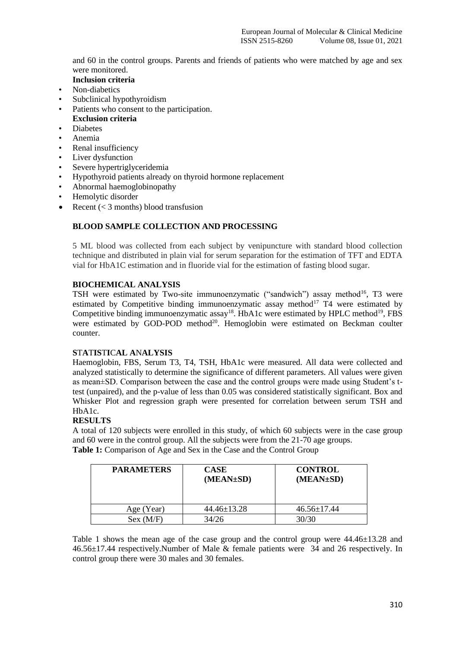and 60 in the control groups. Parents and friends of patients who were matched by age and sex were monitored.

- **Inclusion criteria**
- Non-diabetics
- Subclinical hypothyroidism
- Patients who consent to the participation.
- **Exclusion criteria**
- **Diabetes**
- Anemia
- Renal insufficiency
- Liver dysfunction
- Severe hypertriglyceridemia
- Hypothyroid patients already on thyroid hormone replacement
- Abnormal haemoglobinopathy
- Hemolytic disorder
- Recent  $(< 3$  months) blood transfusion

## **BLOOD SAMPLE COLLECTION AND PROCESSING**

5 ML blood was collected from each subject by venipuncture with standard blood collection technique and distributed in plain vial for serum separation for the estimation of TFT and EDTA vial for HbA1C estimation and in fluoride vial for the estimation of fasting blood sugar.

## **BIOCHEMICAL ANALYSIS**

TSH were estimated by Two-site immunoenzymatic ("sandwich") assay method<sup>16</sup>, T3 were estimated by Competitive binding immunoenzymatic assay method $17$  T4 were estimated by Competitive binding immunoenzymatic assay<sup>18</sup>. HbA1c were estimated by HPLC method<sup>19</sup>, FBS were estimated by GOD-POD method<sup>20</sup>. Hemoglobin were estimated on Beckman coulter counter.

#### **S**T**A**T**IS**T**I**C**AL A**N**ALYSIS**

Haemoglobin, FBS, Serum T3, T4, TSH, HbA1c were measured. All data were collected and analyzed statistically to determine the significance of different parameters. All values were given as mean±SD. Comparison between the case and the control groups were made using Student's ttest (unpaired), and the p-value of less than 0.05 was considered statistically significant. Box and Whisker Plot and regression graph were presented for correlation between serum TSH and HbA1c.

## **RESULTS**

A total of 120 subjects were enrolled in this study, of which 60 subjects were in the case group and 60 were in the control group. All the subjects were from the 21-70 age groups. **Table 1:** Comparison of Age and Sex in the Case and the Control Group

| <b>PARAMETERS</b> | <b>CASE</b><br>(MEAN±SD) | <b>CONTROL</b><br>(MEAN±SD) |
|-------------------|--------------------------|-----------------------------|
| Age (Year)        | $44.46 \pm 13.28$        | $46.56 \pm 17.44$           |
| Sex (M/F)         | 34/26                    | 30/30                       |

Table 1 shows the mean age of the case group and the control group were 44.46±13.28 and 46.56±17.44 respectively.Number of Male & female patients were 34 and 26 respectively. In control group there were 30 males and 30 females.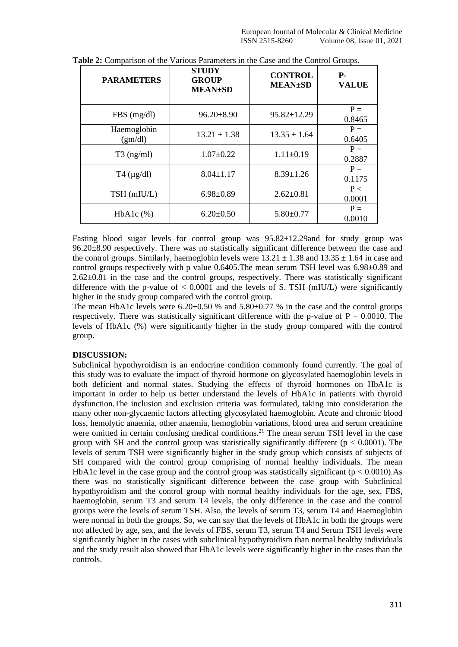| <b>PARAMETERS</b>      | <b>STUDY</b><br><b>GROUP</b><br><b>MEAN±SD</b> | <b>CONTROL</b><br><b>MEAN±SD</b> | <b>P.</b><br><b>VALUE</b> |
|------------------------|------------------------------------------------|----------------------------------|---------------------------|
| $FBS$ (mg/dl)          | $96.20 \pm 8.90$                               | $95.82 \pm 12.29$                | $P =$<br>0.8465           |
| Haemoglobin<br>(gm/dl) | $13.21 \pm 1.38$                               | $13.35 \pm 1.64$                 | $P =$<br>0.6405           |
| $T3$ (ng/ml)           | $1.07 \pm 0.22$                                | $1.11 \pm 0.19$                  | $P =$<br>0.2887           |
| $T4 \, (\mu g/dl)$     | $8.04 \pm 1.17$                                | $8.39 \pm 1.26$                  | $P =$<br>0.1175           |
| TSH (mIU/L)            | $6.98 \pm 0.89$                                | $2.62 \pm 0.81$                  | P <<br>0.0001             |
| $HbA1c$ $(\%)$         | $6.20 \pm 0.50$                                | $5.80 \pm 0.77$                  | $P =$<br>0.0010           |

**Table 2:** Comparison of the Various Parameters in the Case and the Control Groups.

Fasting blood sugar levels for control group was 95.82±12.29and for study group was 96.20±8.90 respectively. There was no statistically significant difference between the case and the control groups. Similarly, haemoglobin levels were  $13.21 \pm 1.38$  and  $13.35 \pm 1.64$  in case and control groups respectively with p value 0.6405.The mean serum TSH level was 6.98±0.89 and 2.62±0.81 in the case and the control groups, respectively. There was statistically significant difference with the p-value of  $< 0.0001$  and the levels of S. TSH (mIU/L) were significantly higher in the study group compared with the control group.

The mean HbA1c levels were  $6.20 \pm 0.50$  % and  $5.80 \pm 0.77$  % in the case and the control groups respectively. There was statistically significant difference with the p-value of  $P = 0.0010$ . The levels of HbA1c (%) were significantly higher in the study group compared with the control group.

#### **DISCUSSION:**

Subclinical hypothyroidism is an endocrine condition commonly found currently. The goal of this study was to evaluate the impact of thyroid hormone on glycosylated haemoglobin levels in both deficient and normal states. Studying the effects of thyroid hormones on HbA1c is important in order to help us better understand the levels of HbA1c in patients with thyroid dysfunction.The inclusion and exclusion criteria was formulated, taking into consideration the many other non-glycaemic factors affecting glycosylated haemoglobin. Acute and chronic blood loss, hemolytic anaemia, other anaemia, hemoglobin variations, blood urea and serum creatinine were omitted in certain confusing medical conditions.<sup>21</sup> The mean serum TSH level in the case group with SH and the control group was statistically significantly different ( $p < 0.0001$ ). The levels of serum TSH were significantly higher in the study group which consists of subjects of SH compared with the control group comprising of normal healthy individuals. The mean HbA1c level in the case group and the control group was statistically significant ( $p < 0.0010$ ). As there was no statistically significant difference between the case group with Subclinical hypothyroidism and the control group with normal healthy individuals for the age, sex, FBS, haemoglobin, serum T3 and serum T4 levels, the only difference in the case and the control groups were the levels of serum TSH. Also, the levels of serum T3, serum T4 and Haemoglobin were normal in both the groups. So, we can say that the levels of HbA1c in both the groups were not affected by age, sex, and the levels of FBS, serum T3, serum T4 and Serum TSH levels were significantly higher in the cases with subclinical hypothyroidism than normal healthy individuals and the study result also showed that HbA1c levels were significantly higher in the cases than the controls.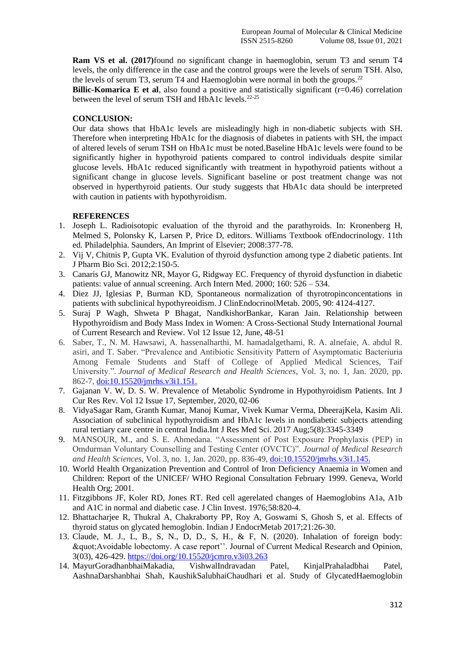**Ram VS et al. (2017)**found no significant change in haemoglobin, serum T3 and serum T4 levels, the only difference in the case and the control groups were the levels of serum TSH. Also, the levels of serum T3, serum T4 and Haemoglobin were normal in both the groups.<sup>22</sup>

**Billic-Komarica E et al,** also found a positive and statistically significant (r=0.46) correlation between the level of serum TSH and HbA1c levels.<sup>22-25</sup>

### **CONCLUSION:**

Our data shows that HbA1c levels are misleadingly high in non-diabetic subjects with SH. Therefore when interpreting HbA1c for the diagnosis of diabetes in patients with SH, the impact of altered levels of serum TSH on HbA1c must be noted.Baseline HbA1c levels were found to be significantly higher in hypothyroid patients compared to control individuals despite similar glucose levels. HbA1c reduced significantly with treatment in hypothyroid patients without a significant change in glucose levels. Significant baseline or post treatment change was not observed in hyperthyroid patients. Our study suggests that HbA1c data should be interpreted with caution in patients with hypothyroidism.

## **REFERENCES**

- 1. Joseph L. Radioisotopic evaluation of the thyroid and the parathyroids. In: Kronenberg H, Melmed S, Polonsky K, Larsen P, Price D, editors. Williams Textbook ofEndocrinology. 11th ed. Philadelphia. Saunders, An Imprint of Elsevier; 2008:377-78.
- 2. Vij V, Chitnis P, Gupta VK. Evalution of thyroid dysfunction among type 2 diabetic patients. Int J Pharm Bio Sci. 2012;2:150-5.
- 3. Canaris GJ, Manowitz NR, Mayor G, Ridgway EC. Frequency of thyroid dysfunction in diabetic patients: value of annual screening. Arch Intern Med. 2000; 160: 526 – 534.
- 4. Diez JJ, Iglesias P, Burman KD, Spontaneous normalization of thyrotropinconcentations in patients with subclinical hypothyreoidism. J ClinEndocrinolMetab. 2005, 90: 4124-4127.
- 5. Suraj P Wagh, Shweta P Bhagat, NandkishorBankar, Karan Jain. Relationship between Hypothyroidism and Body Mass Index in Women: A Cross-Sectional Study International Journal of Current Research and Review. Vol 12 Issue 12, June, 48-51
- 6. Saber, T., N. M. Hawsawi, A. hassenalharthi, M. hamadalgethami, R. A. alnefaie, A. abdul R. asiri, and T. Saber. "Prevalence and Antibiotic Sensitivity Pattern of Asymptomatic Bacteriuria Among Female Students and Staff of College of Applied Medical Sciences, Taif University.". *Journal of Medical Research and Health Sciences*, Vol. 3, no. 1, Jan. 2020, pp. 862-7,<doi:10.15520/jmrhs.v3i1.151.>
- 7. Gajanan V. W, D. S. W. Prevalence of Metabolic Syndrome in Hypothyroidism Patients. Int J Cur Res Rev. Vol 12 Issue 17, September, 2020, 02-06
- 8. VidyaSagar Ram, Granth Kumar, Manoj Kumar, Vivek Kumar Verma, DheerajKela, Kasim Ali. Association of subclinical hypothyroidism and HbA1c levels in nondiabetic subjects attending rural tertiary care centre in central India.Int J Res Med Sci. 2017 Aug;5(8):3345-3349
- 9. MANSOUR, M., and S. E. Ahmedana. "Assessment of Post Exposure Prophylaxis (PEP) in Omdurman Voluntary Counselling and Testing Center (OVCTC)". *Journal of Medical Research and Health Sciences*, Vol. 3, no. 1, Jan. 2020, pp. 836-49,<doi:10.15520/jmrhs.v3i1.145.>
- 10. World Health Organization Prevention and Control of Iron Deficiency Anaemia in Women and Children: Report of the UNICEF/ WHO Regional Consultation February 1999. Geneva, World Health Org; 2001.
- 11. Fitzgibbons JF, Koler RD, Jones RT. Red cell agerelated changes of Haemoglobins A1a, A1b and A1C in normal and diabetic case. J Clin Invest. 1976;58:820-4.
- 12. Bhattacharjee R, Thukral A, Chakraborty PP, Roy A, Goswami S, Ghosh S, et al. Effects of thyroid status on glycated hemoglobin. Indian J EndocrMetab 2017;21:26-30.
- 13. Claude, M. J., L, B., S, N., D, D., S, H., & F, N. (2020). Inhalation of foreign body: "Avoidable lobectomy. A case report''. Journal of Current Medical Research and Opinion, 3(03), 426-429.<https://doi.org/10.15520/jcmro.v3i03.263>
- 14. MayurGoradhanbhaiMakadia, VishwalIndravadan Patel, KinjalPrahaladbhai Patel, AashnaDarshanbhai Shah, KaushikSalubhaiChaudhari et al. Study of GlycatedHaemoglobin